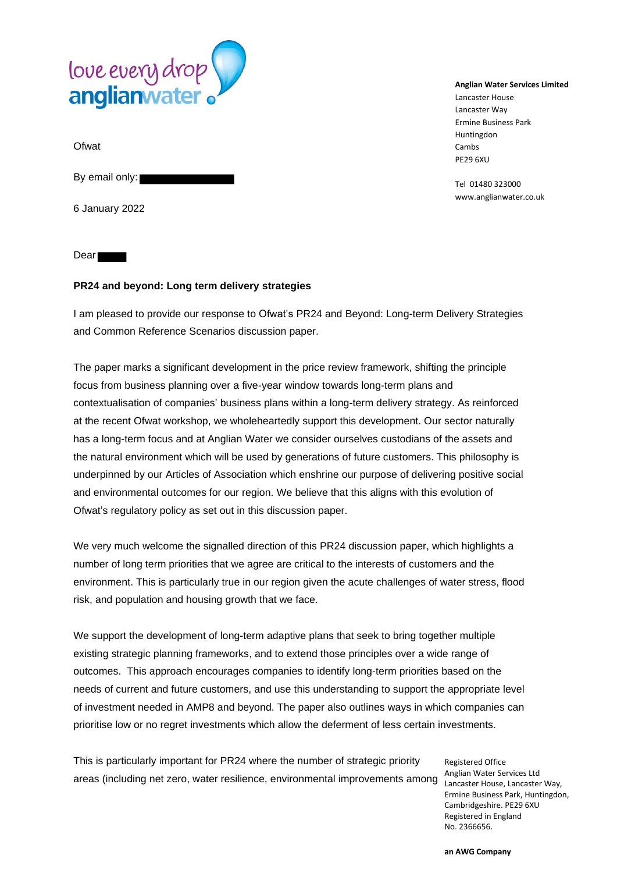

**Ofwat** 

By email only:

6 January 2022

Dear

### **PR24 and beyond: Long term delivery strategies**

I am pleased to provide our response to Ofwat's PR24 and Beyond: Long-term Delivery Strategies and Common Reference Scenarios discussion paper.

The paper marks a significant development in the price review framework, shifting the principle focus from business planning over a five-year window towards long-term plans and contextualisation of companies' business plans within a long-term delivery strategy. As reinforced at the recent Ofwat workshop, we wholeheartedly support this development. Our sector naturally has a long-term focus and at Anglian Water we consider ourselves custodians of the assets and the natural environment which will be used by generations of future customers. This philosophy is underpinned by our Articles of Association which enshrine our purpose of delivering positive social and environmental outcomes for our region. We believe that this aligns with this evolution of Ofwat's regulatory policy as set out in this discussion paper.

We very much welcome the signalled direction of this PR24 discussion paper, which highlights a number of long term priorities that we agree are critical to the interests of customers and the environment. This is particularly true in our region given the acute challenges of water stress, flood risk, and population and housing growth that we face.

We support the development of long-term adaptive plans that seek to bring together multiple existing strategic planning frameworks, and to extend those principles over a wide range of outcomes. This approach encourages companies to identify long-term priorities based on the needs of current and future customers, and use this understanding to support the appropriate level of investment needed in AMP8 and beyond. The paper also outlines ways in which companies can prioritise low or no regret investments which allow the deferment of less certain investments.

This is particularly important for PR24 where the number of strategic priority areas (including net zero, water resilience, environmental improvements among

Registered Office Anglian Water Services Ltd Lancaster House, Lancaster Way, Ermine Business Park, Huntingdon, Cambridgeshire. PE29 6XU Registered in England No. 2366656.

#### **Anglian Water Services Limited**

Lancaster House Lancaster Way Ermine Business Park Huntingdon Cambs PE29 6XU

Tel 01480 323000 www.anglianwater.co.uk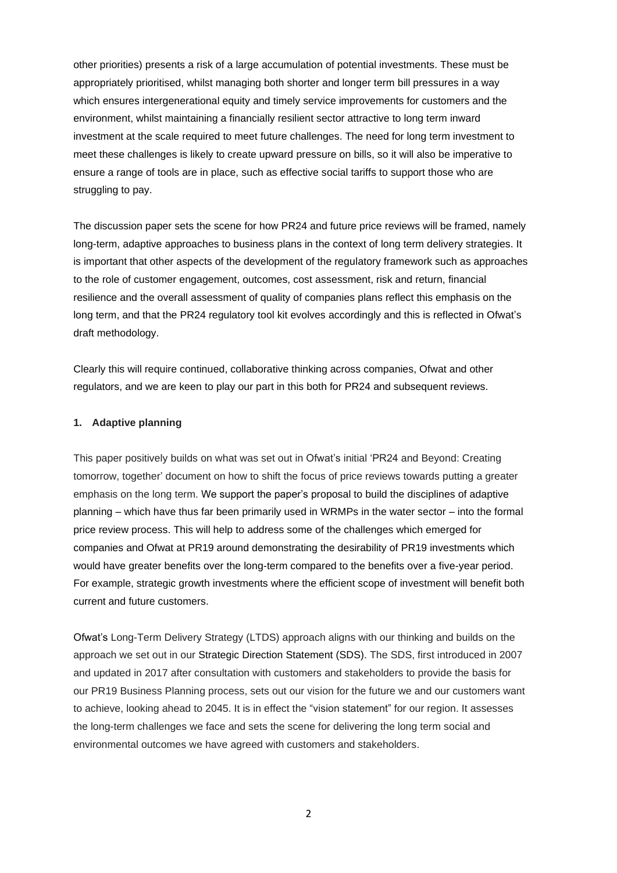other priorities) presents a risk of a large accumulation of potential investments. These must be appropriately prioritised, whilst managing both shorter and longer term bill pressures in a way which ensures intergenerational equity and timely service improvements for customers and the environment, whilst maintaining a financially resilient sector attractive to long term inward investment at the scale required to meet future challenges. The need for long term investment to meet these challenges is likely to create upward pressure on bills, so it will also be imperative to ensure a range of tools are in place, such as effective social tariffs to support those who are struggling to pay.

The discussion paper sets the scene for how PR24 and future price reviews will be framed, namely long-term, adaptive approaches to business plans in the context of long term delivery strategies. It is important that other aspects of the development of the regulatory framework such as approaches to the role of customer engagement, outcomes, cost assessment, risk and return, financial resilience and the overall assessment of quality of companies plans reflect this emphasis on the long term, and that the PR24 regulatory tool kit evolves accordingly and this is reflected in Ofwat's draft methodology.

Clearly this will require continued, collaborative thinking across companies, Ofwat and other regulators, and we are keen to play our part in this both for PR24 and subsequent reviews.

## **1. Adaptive planning**

This paper positively builds on what was set out in Ofwat's initial 'PR24 and Beyond: Creating tomorrow, together' document on how to shift the focus of price reviews towards putting a greater emphasis on the long term. We support the paper's proposal to build the disciplines of adaptive planning – which have thus far been primarily used in WRMPs in the water sector – into the formal price review process. This will help to address some of the challenges which emerged for companies and Ofwat at PR19 around demonstrating the desirability of PR19 investments which would have greater benefits over the long-term compared to the benefits over a five-year period. For example, strategic growth investments where the efficient scope of investment will benefit both current and future customers.

Ofwat's Long-Term Delivery Strategy (LTDS) approach aligns with our thinking and builds on the approach we set out in our Strategic Direction Statement (SDS). The SDS, first introduced in 2007 and updated in 2017 after consultation with customers and stakeholders to provide the basis for our PR19 Business Planning process, sets out our vision for the future we and our customers want to achieve, looking ahead to 2045. It is in effect the "vision statement" for our region. It assesses the long-term challenges we face and sets the scene for delivering the long term social and environmental outcomes we have agreed with customers and stakeholders.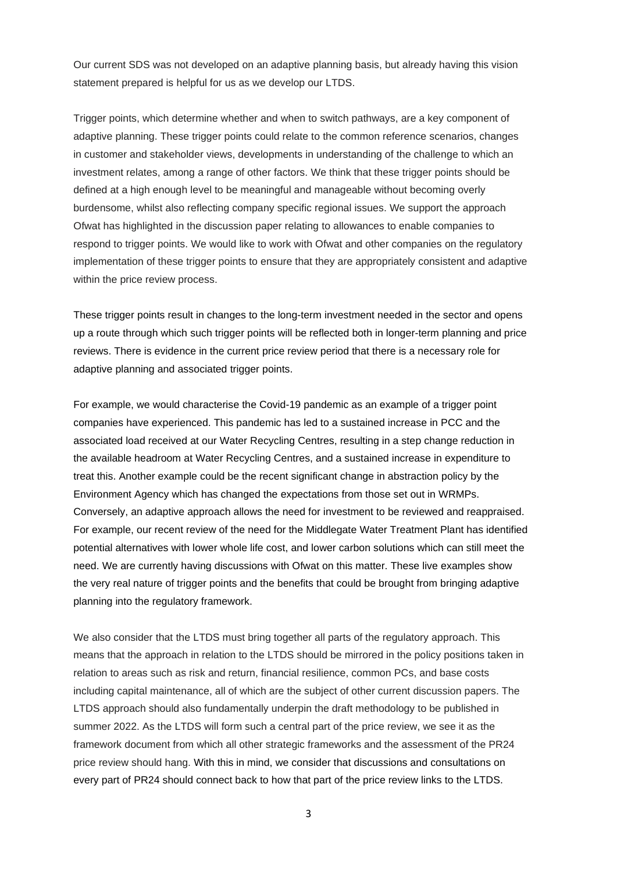Our current SDS was not developed on an adaptive planning basis, but already having this vision statement prepared is helpful for us as we develop our LTDS.

Trigger points, which determine whether and when to switch pathways, are a key component of adaptive planning. These trigger points could relate to the common reference scenarios, changes in customer and stakeholder views, developments in understanding of the challenge to which an investment relates, among a range of other factors. We think that these trigger points should be defined at a high enough level to be meaningful and manageable without becoming overly burdensome, whilst also reflecting company specific regional issues. We support the approach Ofwat has highlighted in the discussion paper relating to allowances to enable companies to respond to trigger points. We would like to work with Ofwat and other companies on the regulatory implementation of these trigger points to ensure that they are appropriately consistent and adaptive within the price review process.

These trigger points result in changes to the long-term investment needed in the sector and opens up a route through which such trigger points will be reflected both in longer-term planning and price reviews. There is evidence in the current price review period that there is a necessary role for adaptive planning and associated trigger points.

For example, we would characterise the Covid-19 pandemic as an example of a trigger point companies have experienced. This pandemic has led to a sustained increase in PCC and the associated load received at our Water Recycling Centres, resulting in a step change reduction in the available headroom at Water Recycling Centres, and a sustained increase in expenditure to treat this. Another example could be the recent significant change in abstraction policy by the Environment Agency which has changed the expectations from those set out in WRMPs. Conversely, an adaptive approach allows the need for investment to be reviewed and reappraised. For example, our recent review of the need for the Middlegate Water Treatment Plant has identified potential alternatives with lower whole life cost, and lower carbon solutions which can still meet the need. We are currently having discussions with Ofwat on this matter. These live examples show the very real nature of trigger points and the benefits that could be brought from bringing adaptive planning into the regulatory framework.

We also consider that the LTDS must bring together all parts of the regulatory approach. This means that the approach in relation to the LTDS should be mirrored in the policy positions taken in relation to areas such as risk and return, financial resilience, common PCs, and base costs including capital maintenance, all of which are the subject of other current discussion papers. The LTDS approach should also fundamentally underpin the draft methodology to be published in summer 2022. As the LTDS will form such a central part of the price review, we see it as the framework document from which all other strategic frameworks and the assessment of the PR24 price review should hang. With this in mind, we consider that discussions and consultations on every part of PR24 should connect back to how that part of the price review links to the LTDS.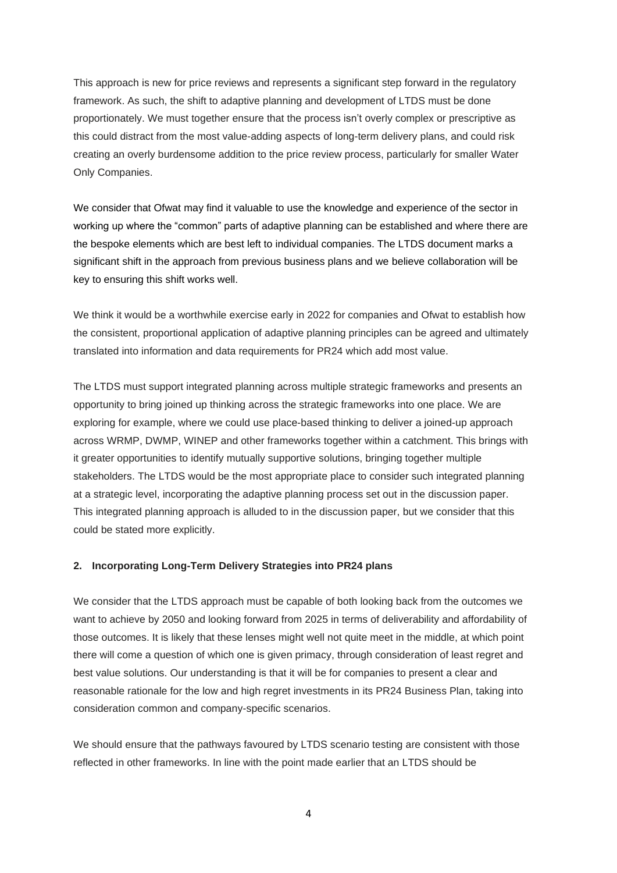This approach is new for price reviews and represents a significant step forward in the regulatory framework. As such, the shift to adaptive planning and development of LTDS must be done proportionately. We must together ensure that the process isn't overly complex or prescriptive as this could distract from the most value-adding aspects of long-term delivery plans, and could risk creating an overly burdensome addition to the price review process, particularly for smaller Water Only Companies.

We consider that Ofwat may find it valuable to use the knowledge and experience of the sector in working up where the "common" parts of adaptive planning can be established and where there are the bespoke elements which are best left to individual companies. The LTDS document marks a significant shift in the approach from previous business plans and we believe collaboration will be key to ensuring this shift works well.

We think it would be a worthwhile exercise early in 2022 for companies and Ofwat to establish how the consistent, proportional application of adaptive planning principles can be agreed and ultimately translated into information and data requirements for PR24 which add most value.

The LTDS must support integrated planning across multiple strategic frameworks and presents an opportunity to bring joined up thinking across the strategic frameworks into one place. We are exploring for example, where we could use place-based thinking to deliver a joined-up approach across WRMP, DWMP, WINEP and other frameworks together within a catchment. This brings with it greater opportunities to identify mutually supportive solutions, bringing together multiple stakeholders. The LTDS would be the most appropriate place to consider such integrated planning at a strategic level, incorporating the adaptive planning process set out in the discussion paper. This integrated planning approach is alluded to in the discussion paper, but we consider that this could be stated more explicitly.

## **2. Incorporating Long-Term Delivery Strategies into PR24 plans**

We consider that the LTDS approach must be capable of both looking back from the outcomes we want to achieve by 2050 and looking forward from 2025 in terms of deliverability and affordability of those outcomes. It is likely that these lenses might well not quite meet in the middle, at which point there will come a question of which one is given primacy, through consideration of least regret and best value solutions. Our understanding is that it will be for companies to present a clear and reasonable rationale for the low and high regret investments in its PR24 Business Plan, taking into consideration common and company-specific scenarios.

We should ensure that the pathways favoured by LTDS scenario testing are consistent with those reflected in other frameworks. In line with the point made earlier that an LTDS should be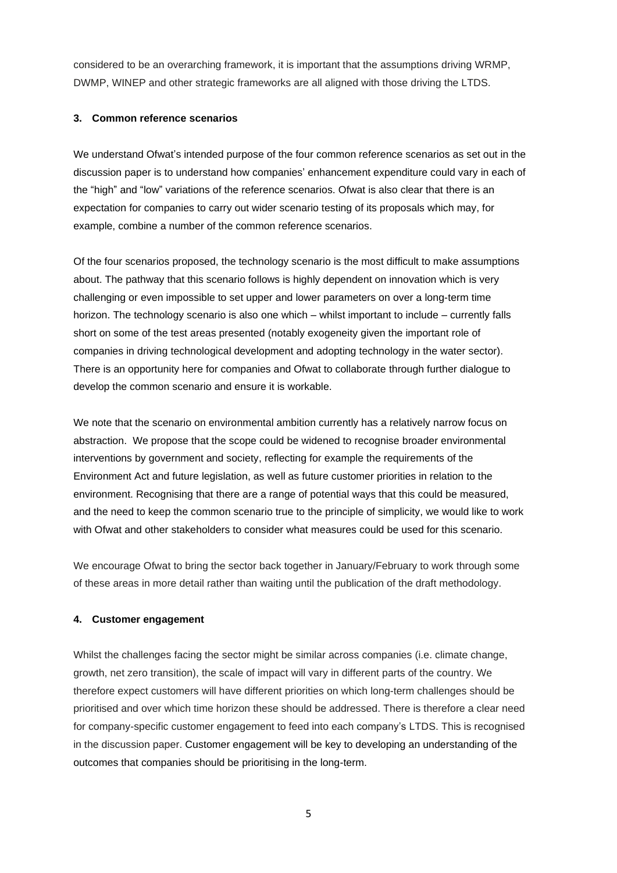considered to be an overarching framework, it is important that the assumptions driving WRMP, DWMP, WINEP and other strategic frameworks are all aligned with those driving the LTDS.

## **3. Common reference scenarios**

We understand Ofwat's intended purpose of the four common reference scenarios as set out in the discussion paper is to understand how companies' enhancement expenditure could vary in each of the "high" and "low" variations of the reference scenarios. Ofwat is also clear that there is an expectation for companies to carry out wider scenario testing of its proposals which may, for example, combine a number of the common reference scenarios.

Of the four scenarios proposed, the technology scenario is the most difficult to make assumptions about. The pathway that this scenario follows is highly dependent on innovation which is very challenging or even impossible to set upper and lower parameters on over a long-term time horizon. The technology scenario is also one which – whilst important to include – currently falls short on some of the test areas presented (notably exogeneity given the important role of companies in driving technological development and adopting technology in the water sector). There is an opportunity here for companies and Ofwat to collaborate through further dialogue to develop the common scenario and ensure it is workable.

We note that the scenario on environmental ambition currently has a relatively narrow focus on abstraction. We propose that the scope could be widened to recognise broader environmental interventions by government and society, reflecting for example the requirements of the Environment Act and future legislation, as well as future customer priorities in relation to the environment. Recognising that there are a range of potential ways that this could be measured, and the need to keep the common scenario true to the principle of simplicity, we would like to work with Ofwat and other stakeholders to consider what measures could be used for this scenario.

We encourage Ofwat to bring the sector back together in January/February to work through some of these areas in more detail rather than waiting until the publication of the draft methodology.

## **4. Customer engagement**

Whilst the challenges facing the sector might be similar across companies (i.e. climate change, growth, net zero transition), the scale of impact will vary in different parts of the country. We therefore expect customers will have different priorities on which long-term challenges should be prioritised and over which time horizon these should be addressed. There is therefore a clear need for company-specific customer engagement to feed into each company's LTDS. This is recognised in the discussion paper. Customer engagement will be key to developing an understanding of the outcomes that companies should be prioritising in the long-term.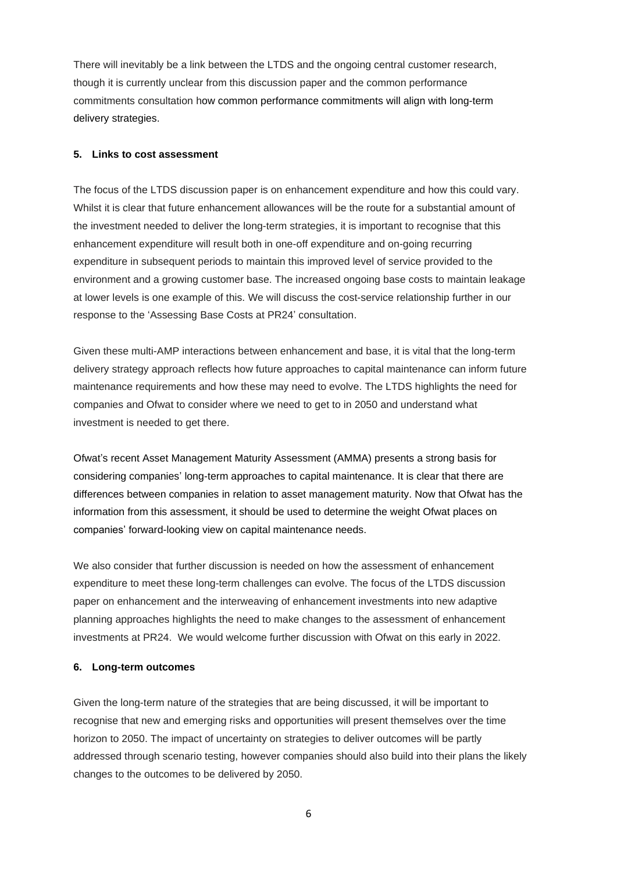There will inevitably be a link between the LTDS and the ongoing central customer research, though it is currently unclear from this discussion paper and the common performance commitments consultation how common performance commitments will align with long-term delivery strategies.

#### **5. Links to cost assessment**

The focus of the LTDS discussion paper is on enhancement expenditure and how this could vary. Whilst it is clear that future enhancement allowances will be the route for a substantial amount of the investment needed to deliver the long-term strategies, it is important to recognise that this enhancement expenditure will result both in one-off expenditure and on-going recurring expenditure in subsequent periods to maintain this improved level of service provided to the environment and a growing customer base. The increased ongoing base costs to maintain leakage at lower levels is one example of this. We will discuss the cost-service relationship further in our response to the 'Assessing Base Costs at PR24' consultation.

Given these multi-AMP interactions between enhancement and base, it is vital that the long-term delivery strategy approach reflects how future approaches to capital maintenance can inform future maintenance requirements and how these may need to evolve. The LTDS highlights the need for companies and Ofwat to consider where we need to get to in 2050 and understand what investment is needed to get there.

Ofwat's recent Asset Management Maturity Assessment (AMMA) presents a strong basis for considering companies' long-term approaches to capital maintenance. It is clear that there are differences between companies in relation to asset management maturity. Now that Ofwat has the information from this assessment, it should be used to determine the weight Ofwat places on companies' forward-looking view on capital maintenance needs.

We also consider that further discussion is needed on how the assessment of enhancement expenditure to meet these long-term challenges can evolve. The focus of the LTDS discussion paper on enhancement and the interweaving of enhancement investments into new adaptive planning approaches highlights the need to make changes to the assessment of enhancement investments at PR24. We would welcome further discussion with Ofwat on this early in 2022.

#### **6. Long-term outcomes**

Given the long-term nature of the strategies that are being discussed, it will be important to recognise that new and emerging risks and opportunities will present themselves over the time horizon to 2050. The impact of uncertainty on strategies to deliver outcomes will be partly addressed through scenario testing, however companies should also build into their plans the likely changes to the outcomes to be delivered by 2050.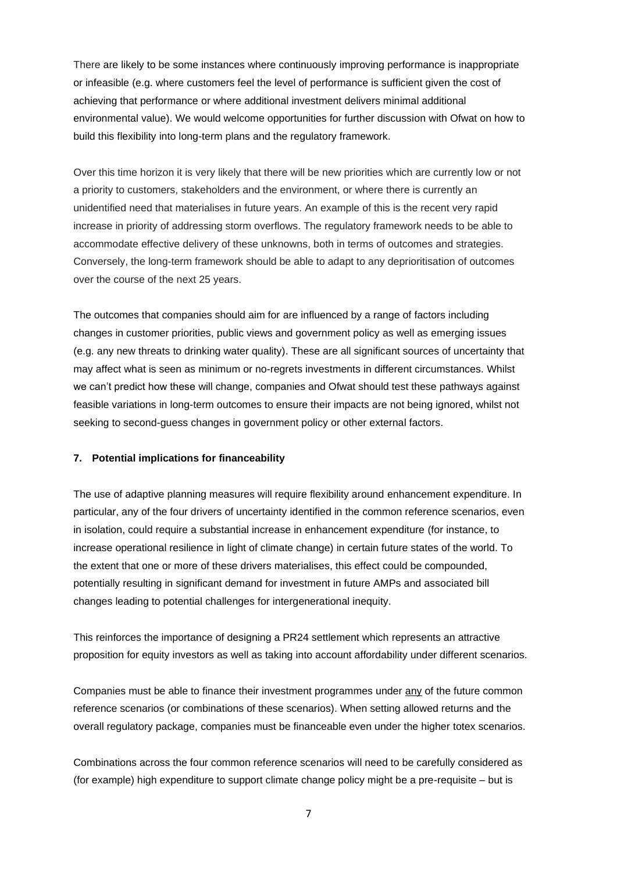There are likely to be some instances where continuously improving performance is inappropriate or infeasible (e.g. where customers feel the level of performance is sufficient given the cost of achieving that performance or where additional investment delivers minimal additional environmental value). We would welcome opportunities for further discussion with Ofwat on how to build this flexibility into long-term plans and the regulatory framework.

Over this time horizon it is very likely that there will be new priorities which are currently low or not a priority to customers, stakeholders and the environment, or where there is currently an unidentified need that materialises in future years. An example of this is the recent very rapid increase in priority of addressing storm overflows. The regulatory framework needs to be able to accommodate effective delivery of these unknowns, both in terms of outcomes and strategies. Conversely, the long-term framework should be able to adapt to any deprioritisation of outcomes over the course of the next 25 years.

The outcomes that companies should aim for are influenced by a range of factors including changes in customer priorities, public views and government policy as well as emerging issues (e.g. any new threats to drinking water quality). These are all significant sources of uncertainty that may affect what is seen as minimum or no-regrets investments in different circumstances. Whilst we can't predict how these will change, companies and Ofwat should test these pathways against feasible variations in long-term outcomes to ensure their impacts are not being ignored, whilst not seeking to second-guess changes in government policy or other external factors.

### **7. Potential implications for financeability**

The use of adaptive planning measures will require flexibility around enhancement expenditure. In particular, any of the four drivers of uncertainty identified in the common reference scenarios, even in isolation, could require a substantial increase in enhancement expenditure (for instance, to increase operational resilience in light of climate change) in certain future states of the world. To the extent that one or more of these drivers materialises, this effect could be compounded, potentially resulting in significant demand for investment in future AMPs and associated bill changes leading to potential challenges for intergenerational inequity.

This reinforces the importance of designing a PR24 settlement which represents an attractive proposition for equity investors as well as taking into account affordability under different scenarios.

Companies must be able to finance their investment programmes under any of the future common reference scenarios (or combinations of these scenarios). When setting allowed returns and the overall regulatory package, companies must be financeable even under the higher totex scenarios.

Combinations across the four common reference scenarios will need to be carefully considered as (for example) high expenditure to support climate change policy might be a pre-requisite – but is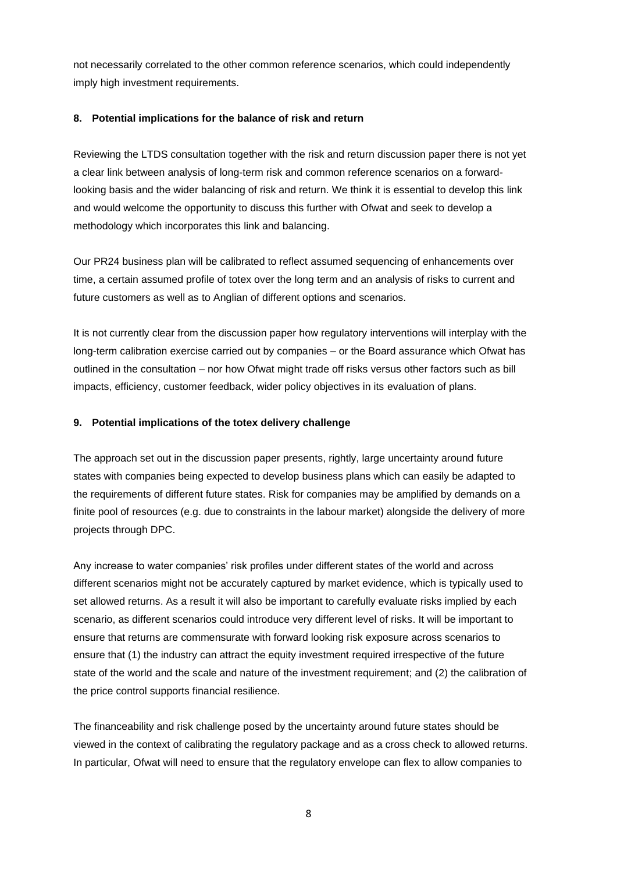not necessarily correlated to the other common reference scenarios, which could independently imply high investment requirements.

## **8. Potential implications for the balance of risk and return**

Reviewing the LTDS consultation together with the risk and return discussion paper there is not yet a clear link between analysis of long-term risk and common reference scenarios on a forwardlooking basis and the wider balancing of risk and return. We think it is essential to develop this link and would welcome the opportunity to discuss this further with Ofwat and seek to develop a methodology which incorporates this link and balancing.

Our PR24 business plan will be calibrated to reflect assumed sequencing of enhancements over time, a certain assumed profile of totex over the long term and an analysis of risks to current and future customers as well as to Anglian of different options and scenarios.

It is not currently clear from the discussion paper how regulatory interventions will interplay with the long-term calibration exercise carried out by companies – or the Board assurance which Ofwat has outlined in the consultation – nor how Ofwat might trade off risks versus other factors such as bill impacts, efficiency, customer feedback, wider policy objectives in its evaluation of plans.

## **9. Potential implications of the totex delivery challenge**

The approach set out in the discussion paper presents, rightly, large uncertainty around future states with companies being expected to develop business plans which can easily be adapted to the requirements of different future states. Risk for companies may be amplified by demands on a finite pool of resources (e.g. due to constraints in the labour market) alongside the delivery of more projects through DPC.

Any increase to water companies' risk profiles under different states of the world and across different scenarios might not be accurately captured by market evidence, which is typically used to set allowed returns. As a result it will also be important to carefully evaluate risks implied by each scenario, as different scenarios could introduce very different level of risks. It will be important to ensure that returns are commensurate with forward looking risk exposure across scenarios to ensure that (1) the industry can attract the equity investment required irrespective of the future state of the world and the scale and nature of the investment requirement; and (2) the calibration of the price control supports financial resilience.

The financeability and risk challenge posed by the uncertainty around future states should be viewed in the context of calibrating the regulatory package and as a cross check to allowed returns. In particular, Ofwat will need to ensure that the regulatory envelope can flex to allow companies to